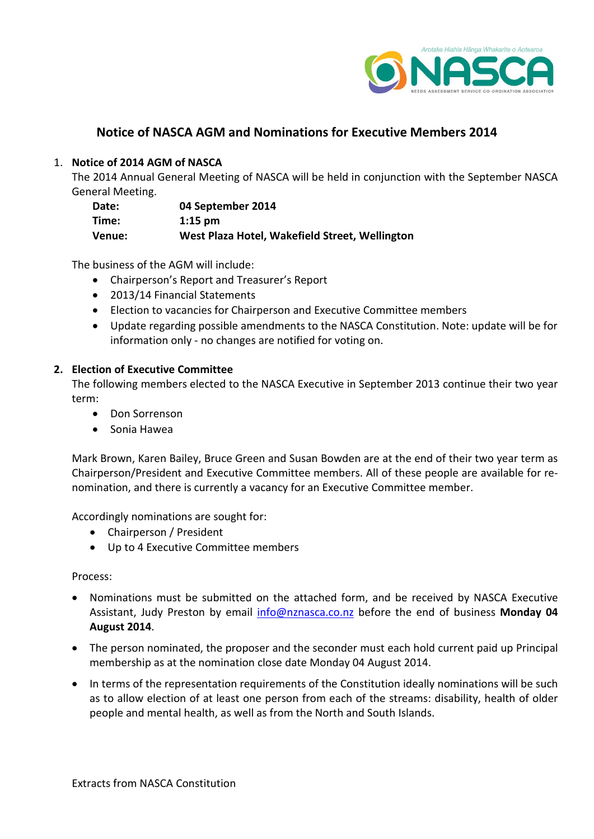

# **Notice of NASCA AGM and Nominations for Executive Members 2014**

# 1. **Notice of 2014 AGM of NASCA**

The 2014 Annual General Meeting of NASCA will be held in conjunction with the September NASCA General Meeting.

| Date:  | 04 September 2014                              |
|--------|------------------------------------------------|
| Time:  | $1:15$ pm                                      |
| Venue: | West Plaza Hotel, Wakefield Street, Wellington |

The business of the AGM will include:

- Chairperson's Report and Treasurer's Report
- 2013/14 Financial Statements
- Election to vacancies for Chairperson and Executive Committee members
- Update regarding possible amendments to the NASCA Constitution. Note: update will be for information only - no changes are notified for voting on.

# **2. Election of Executive Committee**

The following members elected to the NASCA Executive in September 2013 continue their two year term:

- Don Sorrenson
- Sonia Hawea

Mark Brown, Karen Bailey, Bruce Green and Susan Bowden are at the end of their two year term as Chairperson/President and Executive Committee members. All of these people are available for renomination, and there is currently a vacancy for an Executive Committee member.

Accordingly nominations are sought for:

- Chairperson / President
- Up to 4 Executive Committee members

#### Process:

- Nominations must be submitted on the attached form, and be received by NASCA Executive Assistant, Judy Preston by email [info@nznasca.co.nz](mailto:info@nznasca.co.nz) before the end of business **Monday 04 August 2014**.
- The person nominated, the proposer and the seconder must each hold current paid up Principal membership as at the nomination close date Monday 04 August 2014.
- In terms of the representation requirements of the Constitution ideally nominations will be such as to allow election of at least one person from each of the streams: disability, health of older people and mental health, as well as from the North and South Islands.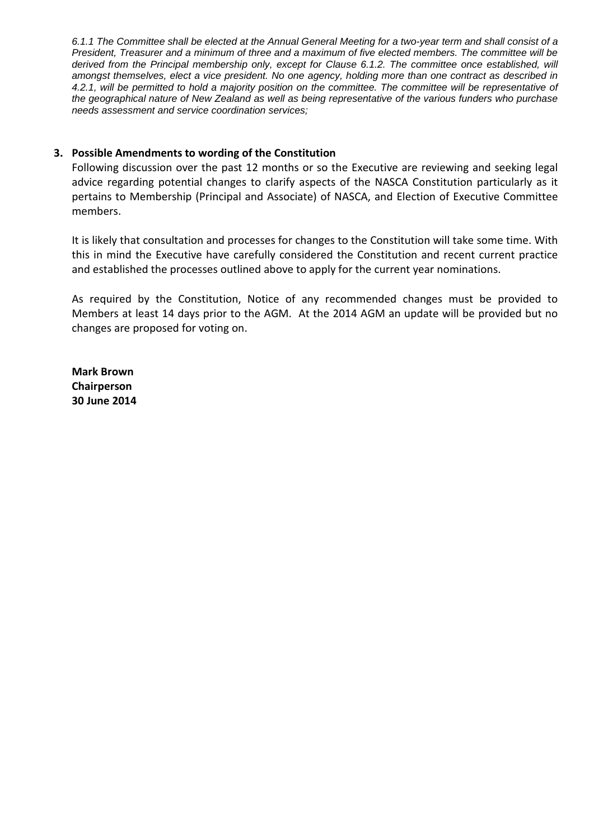*6.1.1 The Committee shall be elected at the Annual General Meeting for a two-year term and shall consist of a President, Treasurer and a minimum of three and a maximum of five elected members. The committee will be derived from the Principal membership only, except for Clause 6.1.2. The committee once established, will amongst themselves, elect a vice president. No one agency, holding more than one contract as described in 4.2.1, will be permitted to hold a majority position on the committee. The committee will be representative of the geographical nature of New Zealand as well as being representative of the various funders who purchase needs assessment and service coordination services;* 

## **3. Possible Amendments to wording of the Constitution**

Following discussion over the past 12 months or so the Executive are reviewing and seeking legal advice regarding potential changes to clarify aspects of the NASCA Constitution particularly as it pertains to Membership (Principal and Associate) of NASCA, and Election of Executive Committee members.

It is likely that consultation and processes for changes to the Constitution will take some time. With this in mind the Executive have carefully considered the Constitution and recent current practice and established the processes outlined above to apply for the current year nominations.

As required by the Constitution, Notice of any recommended changes must be provided to Members at least 14 days prior to the AGM. At the 2014 AGM an update will be provided but no changes are proposed for voting on.

**Mark Brown Chairperson 30 June 2014**